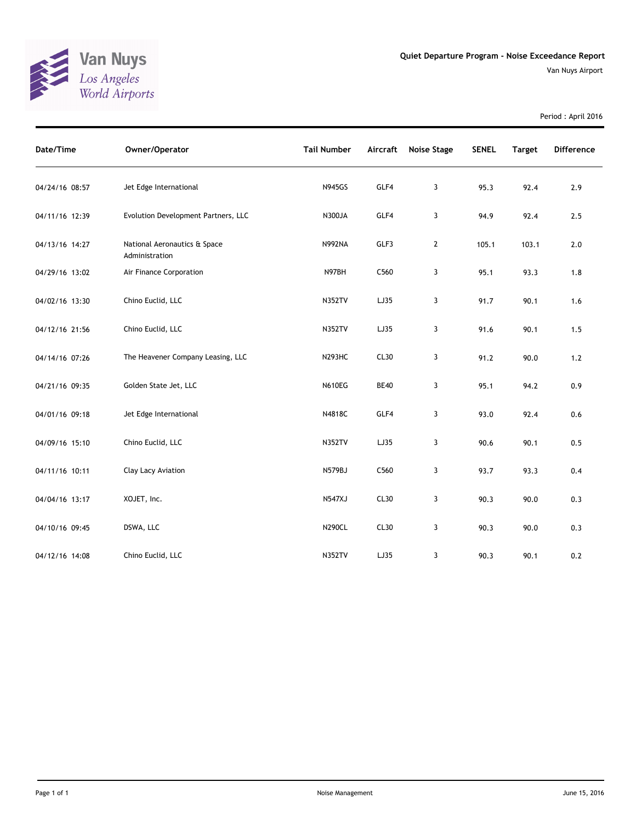

Period : April 2016

| Date/Time      | Owner/Operator                                 | <b>Tail Number</b> | Aircraft    | <b>Noise Stage</b> | <b>SENEL</b> | <b>Target</b> | <b>Difference</b> |
|----------------|------------------------------------------------|--------------------|-------------|--------------------|--------------|---------------|-------------------|
| 04/24/16 08:57 | Jet Edge International                         | <b>N945GS</b>      | GLF4        | 3                  | 95.3         | 92.4          | 2.9               |
| 04/11/16 12:39 | Evolution Development Partners, LLC            | N300JA             | GLF4        | 3                  | 94.9         | 92.4          | 2.5               |
| 04/13/16 14:27 | National Aeronautics & Space<br>Administration | <b>N992NA</b>      | GLF3        | $\mathbf{2}$       | 105.1        | 103.1         | $2.0$             |
| 04/29/16 13:02 | Air Finance Corporation                        | N97BH              | C560        | 3                  | 95.1         | 93.3          | 1.8               |
| 04/02/16 13:30 | Chino Euclid, LLC                              | <b>N352TV</b>      | LJ35        | 3                  | 91.7         | 90.1          | 1.6               |
| 04/12/16 21:56 | Chino Euclid, LLC                              | <b>N352TV</b>      | LJ35        | 3                  | 91.6         | 90.1          | 1.5               |
| 04/14/16 07:26 | The Heavener Company Leasing, LLC              | <b>N293HC</b>      | CL30        | 3                  | 91.2         | 90.0          | $1.2\,$           |
| 04/21/16 09:35 | Golden State Jet, LLC                          | <b>N610EG</b>      | <b>BE40</b> | 3                  | 95.1         | 94.2          | 0.9               |
| 04/01/16 09:18 | Jet Edge International                         | N4818C             | GLF4        | 3                  | 93.0         | 92.4          | 0.6               |
| 04/09/16 15:10 | Chino Euclid, LLC                              | <b>N352TV</b>      | LJ35        | 3                  | 90.6         | 90.1          | 0.5               |
| 04/11/16 10:11 | Clay Lacy Aviation                             | N579BJ             | C560        | 3                  | 93.7         | 93.3          | 0.4               |
| 04/04/16 13:17 | XOJET, Inc.                                    | <b>N547XJ</b>      | CL30        | 3                  | 90.3         | 90.0          | 0.3               |
| 04/10/16 09:45 | DSWA, LLC                                      | <b>N290CL</b>      | CL30        | 3                  | 90.3         | 90.0          | 0.3               |
| 04/12/16 14:08 | Chino Euclid, LLC                              | <b>N352TV</b>      | LJ35        | 3                  | 90.3         | 90.1          | 0.2               |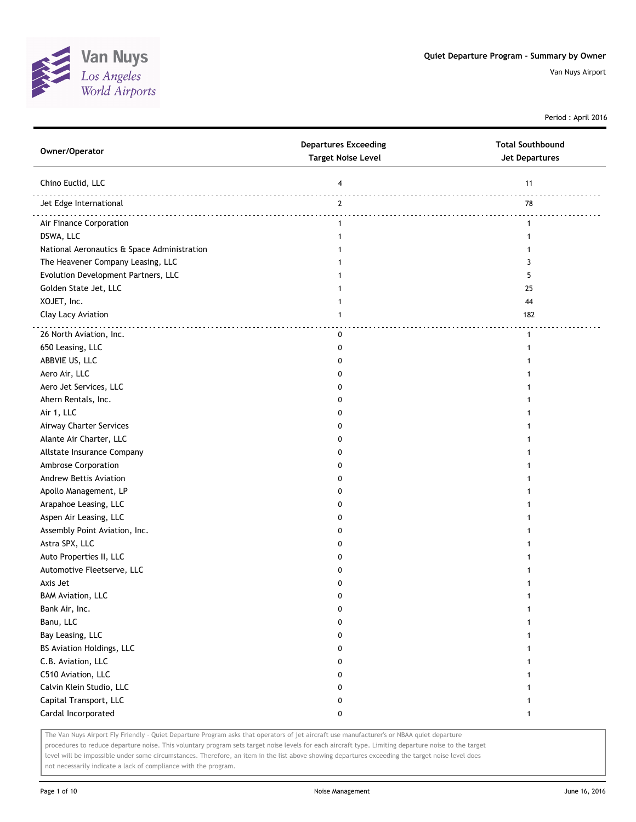

Period : April 2016

| Owner/Operator                              | <b>Departures Exceeding</b><br><b>Target Noise Level</b> | <b>Total Southbound</b><br><b>Jet Departures</b> |
|---------------------------------------------|----------------------------------------------------------|--------------------------------------------------|
| Chino Euclid, LLC                           | 4                                                        | 11                                               |
| Jet Edge International                      | $\overline{2}$                                           | 78                                               |
| Air Finance Corporation                     | $\mathbf{1}$                                             | $\mathbf{1}$                                     |
| DSWA, LLC                                   | $\mathbf{1}$                                             | 1                                                |
| National Aeronautics & Space Administration | 1                                                        |                                                  |
| The Heavener Company Leasing, LLC           | 1                                                        | 3                                                |
| Evolution Development Partners, LLC         | 1                                                        | 5                                                |
| Golden State Jet, LLC                       |                                                          | 25                                               |
| XOJET, Inc.                                 |                                                          | 44                                               |
| Clay Lacy Aviation                          | 1                                                        | 182                                              |
| 26 North Aviation, Inc.                     | 0                                                        | $\mathbf{1}$                                     |
| 650 Leasing, LLC                            | 0                                                        |                                                  |
| ABBVIE US, LLC                              | 0                                                        |                                                  |
| Aero Air, LLC                               | 0                                                        |                                                  |
| Aero Jet Services, LLC                      | 0                                                        |                                                  |
| Ahern Rentals, Inc.                         | 0                                                        |                                                  |
| Air 1, LLC                                  | 0                                                        |                                                  |
| Airway Charter Services                     | 0                                                        |                                                  |
| Alante Air Charter, LLC                     | 0                                                        |                                                  |
| Allstate Insurance Company                  | 0                                                        |                                                  |
| Ambrose Corporation                         | 0                                                        |                                                  |
| Andrew Bettis Aviation                      | 0                                                        |                                                  |
| Apollo Management, LP                       | 0                                                        |                                                  |
| Arapahoe Leasing, LLC                       | 0                                                        |                                                  |
| Aspen Air Leasing, LLC                      | 0                                                        |                                                  |
| Assembly Point Aviation, Inc.               | 0                                                        |                                                  |
| Astra SPX, LLC                              | 0                                                        |                                                  |
| Auto Properties II, LLC                     | 0                                                        |                                                  |
| Automotive Fleetserve, LLC                  | 0                                                        |                                                  |
| Axis Jet                                    | 0                                                        |                                                  |
| <b>BAM Aviation, LLC</b>                    | 0                                                        |                                                  |
| Bank Air, Inc.                              | 0                                                        | 1                                                |
| Banu, LLC                                   | 0                                                        | $\mathbf{1}$                                     |
| Bay Leasing, LLC                            | 0                                                        | 1                                                |
| BS Aviation Holdings, LLC                   | 0                                                        | 1                                                |
| C.B. Aviation, LLC                          | 0                                                        |                                                  |
| C510 Aviation, LLC                          | 0                                                        |                                                  |
| Calvin Klein Studio, LLC                    | 0                                                        |                                                  |
| Capital Transport, LLC                      | 0                                                        |                                                  |
| Cardal Incorporated                         | 0                                                        | 1                                                |

The Van Nuys Airport Fly Friendly - Quiet Departure Program asks that operators of jet aircraft use manufacturer's or NBAA quiet departure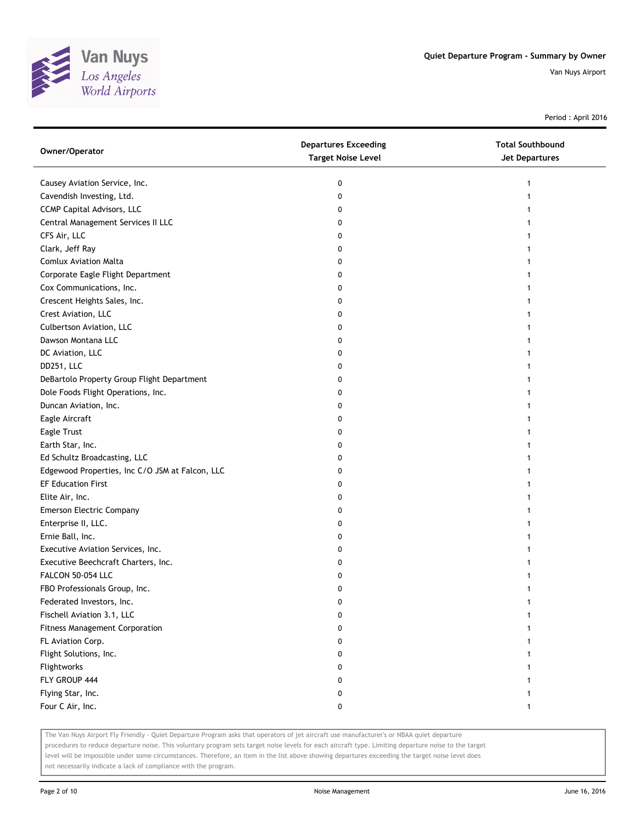

Period : April 2016

| Owner/Operator                                  | <b>Departures Exceeding</b><br><b>Target Noise Level</b> | <b>Total Southbound</b><br>Jet Departures |
|-------------------------------------------------|----------------------------------------------------------|-------------------------------------------|
| Causey Aviation Service, Inc.                   | 0                                                        | 1                                         |
| Cavendish Investing, Ltd.                       | 0                                                        | 1                                         |
| <b>CCMP Capital Advisors, LLC</b>               | 0                                                        |                                           |
| Central Management Services II LLC              | 0                                                        |                                           |
| CFS Air, LLC                                    | 0                                                        |                                           |
| Clark, Jeff Ray                                 | 0                                                        |                                           |
| <b>Comlux Aviation Malta</b>                    | 0                                                        |                                           |
| Corporate Eagle Flight Department               | 0                                                        |                                           |
| Cox Communications, Inc.                        | 0                                                        |                                           |
| Crescent Heights Sales, Inc.                    | 0                                                        |                                           |
| Crest Aviation, LLC                             | 0                                                        |                                           |
| Culbertson Aviation, LLC                        | 0                                                        |                                           |
| Dawson Montana LLC                              | 0                                                        |                                           |
| DC Aviation, LLC                                | 0                                                        |                                           |
| DD251, LLC                                      | 0                                                        |                                           |
| DeBartolo Property Group Flight Department      | 0                                                        |                                           |
| Dole Foods Flight Operations, Inc.              | 0                                                        |                                           |
| Duncan Aviation, Inc.                           | 0                                                        |                                           |
| Eagle Aircraft                                  | 0                                                        |                                           |
| Eagle Trust                                     | 0                                                        |                                           |
| Earth Star, Inc.                                | 0                                                        |                                           |
| Ed Schultz Broadcasting, LLC                    | 0                                                        |                                           |
| Edgewood Properties, Inc C/O JSM at Falcon, LLC | 0                                                        |                                           |
| <b>EF Education First</b>                       | 0                                                        |                                           |
| Elite Air, Inc.                                 | 0                                                        |                                           |
| <b>Emerson Electric Company</b>                 | 0                                                        |                                           |
| Enterprise II, LLC.                             | 0                                                        |                                           |
| Ernie Ball, Inc.                                | 0                                                        |                                           |
| Executive Aviation Services, Inc.               | 0                                                        |                                           |
| Executive Beechcraft Charters, Inc.             | 0                                                        |                                           |
| FALCON 50-054 LLC                               | 0                                                        |                                           |
| FBO Professionals Group, Inc.                   | 0                                                        | 1                                         |
| Federated Investors, Inc.                       |                                                          |                                           |
| Fischell Aviation 3.1, LLC                      |                                                          |                                           |
| Fitness Management Corporation                  | 0                                                        |                                           |
| FL Aviation Corp.                               | 0                                                        |                                           |
| Flight Solutions, Inc.                          | 0                                                        |                                           |
| Flightworks                                     | 0                                                        |                                           |
| FLY GROUP 444                                   | 0                                                        |                                           |
| Flying Star, Inc.                               | 0                                                        |                                           |
| Four C Air, Inc.                                | 0                                                        |                                           |

The Van Nuys Airport Fly Friendly - Quiet Departure Program asks that operators of jet aircraft use manufacturer's or NBAA quiet departure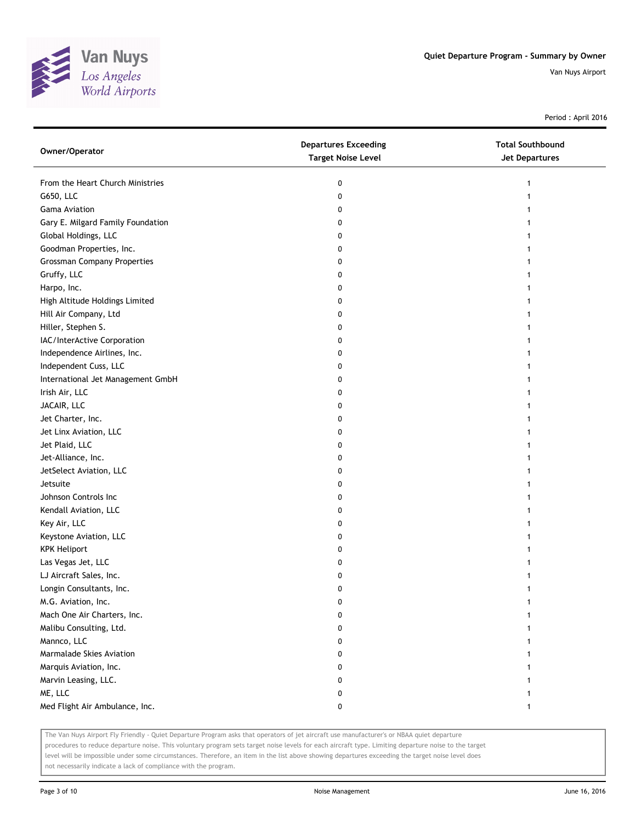

Period : April 2016

| Owner/Operator                     | <b>Departures Exceeding</b><br><b>Target Noise Level</b> | <b>Total Southbound</b><br><b>Jet Departures</b> |
|------------------------------------|----------------------------------------------------------|--------------------------------------------------|
| From the Heart Church Ministries   | 0                                                        | 1                                                |
| G650, LLC                          | 0                                                        | 1                                                |
| Gama Aviation                      | 0                                                        | 1                                                |
| Gary E. Milgard Family Foundation  | 0                                                        | 1                                                |
| Global Holdings, LLC               | 0                                                        | 1                                                |
| Goodman Properties, Inc.           | 0                                                        | 1                                                |
| <b>Grossman Company Properties</b> | 0                                                        |                                                  |
| Gruffy, LLC                        | 0                                                        |                                                  |
| Harpo, Inc.                        | 0                                                        |                                                  |
| High Altitude Holdings Limited     | 0                                                        |                                                  |
| Hill Air Company, Ltd              | 0                                                        |                                                  |
| Hiller, Stephen S.                 | 0                                                        |                                                  |
| IAC/InterActive Corporation        | 0                                                        | 1                                                |
| Independence Airlines, Inc.        | 0                                                        | 1                                                |
| Independent Cuss, LLC              | 0                                                        | 1                                                |
| International Jet Management GmbH  | 0                                                        | 1                                                |
| Irish Air, LLC                     | 0                                                        |                                                  |
| JACAIR, LLC                        | 0                                                        |                                                  |
| Jet Charter, Inc.                  | 0                                                        |                                                  |
| Jet Linx Aviation, LLC             | 0                                                        |                                                  |
| Jet Plaid, LLC                     | 0                                                        |                                                  |
| Jet-Alliance, Inc.                 | 0                                                        |                                                  |
| JetSelect Aviation, LLC            | 0                                                        | 1                                                |
| Jetsuite                           | 0                                                        | 1                                                |
| Johnson Controls Inc               | 0                                                        | 1                                                |
| Kendall Aviation, LLC              | 0                                                        | 1                                                |
| Key Air, LLC                       | 0                                                        |                                                  |
| Keystone Aviation, LLC             | 0                                                        |                                                  |
| <b>KPK Heliport</b>                | 0                                                        |                                                  |
| Las Vegas Jet, LLC                 | 0                                                        |                                                  |
| LJ Aircraft Sales, Inc.            | 0                                                        |                                                  |
| Longin Consultants, Inc.           | 0                                                        | 1                                                |
| M.G. Aviation, Inc.                | 0                                                        | 1                                                |
| Mach One Air Charters, Inc.        | 0                                                        |                                                  |
| Malibu Consulting, Ltd.            | 0                                                        |                                                  |
| Mannco, LLC                        | 0                                                        |                                                  |
| Marmalade Skies Aviation           | 0                                                        |                                                  |
| Marquis Aviation, Inc.             | 0                                                        |                                                  |
| Marvin Leasing, LLC.               | 0                                                        |                                                  |
| ME, LLC                            | 0                                                        |                                                  |
| Med Flight Air Ambulance, Inc.     | 0                                                        | 1                                                |

The Van Nuys Airport Fly Friendly - Quiet Departure Program asks that operators of jet aircraft use manufacturer's or NBAA quiet departure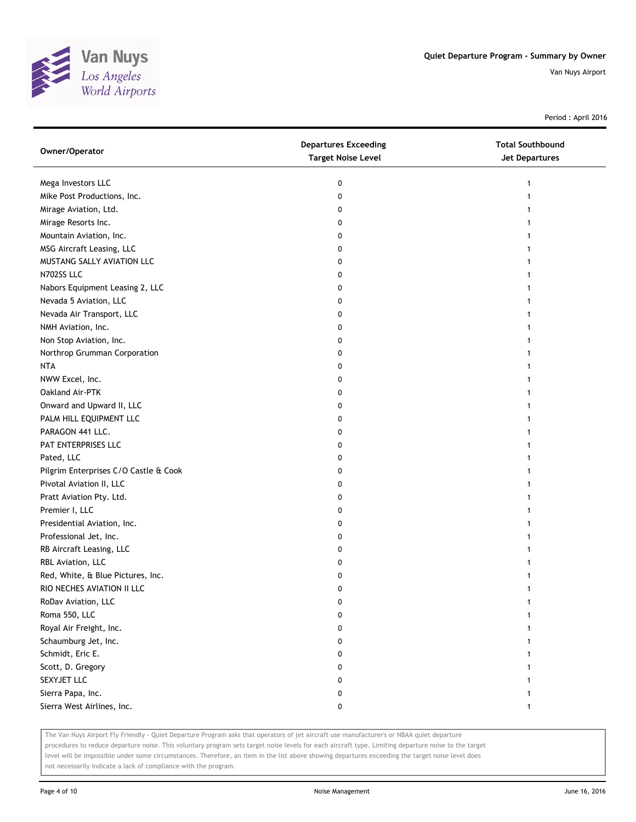

Period : April 2016

| Owner/Operator                        | <b>Departures Exceeding</b><br><b>Target Noise Level</b> | <b>Total Southbound</b><br><b>Jet Departures</b> |
|---------------------------------------|----------------------------------------------------------|--------------------------------------------------|
| Mega Investors LLC                    | 0                                                        | 1                                                |
| Mike Post Productions, Inc.           | 0                                                        |                                                  |
| Mirage Aviation, Ltd.                 | 0                                                        |                                                  |
| Mirage Resorts Inc.                   | 0                                                        | 1                                                |
| Mountain Aviation, Inc.               | 0                                                        |                                                  |
| MSG Aircraft Leasing, LLC             | 0                                                        |                                                  |
| MUSTANG SALLY AVIATION LLC            | 0                                                        |                                                  |
| N702SS LLC                            | 0                                                        |                                                  |
| Nabors Equipment Leasing 2, LLC       | 0                                                        |                                                  |
| Nevada 5 Aviation, LLC                | 0                                                        |                                                  |
| Nevada Air Transport, LLC             | 0                                                        |                                                  |
| NMH Aviation, Inc.                    | 0                                                        |                                                  |
| Non Stop Aviation, Inc.               | 0                                                        |                                                  |
| Northrop Grumman Corporation          | 0                                                        |                                                  |
| <b>NTA</b>                            | 0                                                        |                                                  |
| NWW Excel, Inc.                       | 0                                                        |                                                  |
| Oakland Air-PTK                       | 0                                                        |                                                  |
| Onward and Upward II, LLC             | 0                                                        |                                                  |
| PALM HILL EQUIPMENT LLC               | 0                                                        |                                                  |
| PARAGON 441 LLC.                      | 0                                                        |                                                  |
| PAT ENTERPRISES LLC                   | 0                                                        |                                                  |
| Pated, LLC                            | 0                                                        |                                                  |
| Pilgrim Enterprises C/O Castle & Cook | 0                                                        |                                                  |
| Pivotal Aviation II, LLC              | 0                                                        |                                                  |
| Pratt Aviation Pty. Ltd.              | 0                                                        |                                                  |
| Premier I, LLC                        | 0                                                        |                                                  |
| Presidential Aviation, Inc.           | 0                                                        |                                                  |
| Professional Jet, Inc.                | 0                                                        |                                                  |
| RB Aircraft Leasing, LLC              | 0                                                        |                                                  |
| RBL Aviation, LLC                     | 0                                                        |                                                  |
| Red, White, & Blue Pictures, Inc.     | 0                                                        |                                                  |
| RIO NECHES AVIATION II LLC            | 0                                                        |                                                  |
| RoDav Aviation, LLC                   | 0                                                        | 1                                                |
| Roma 550, LLC                         | 0                                                        | 1                                                |
| Royal Air Freight, Inc.               | 0                                                        |                                                  |
| Schaumburg Jet, Inc.                  | 0                                                        |                                                  |
| Schmidt, Eric E.                      | 0                                                        |                                                  |
| Scott, D. Gregory                     | 0                                                        |                                                  |
| SEXYJET LLC                           | 0                                                        |                                                  |
| Sierra Papa, Inc.                     | 0                                                        |                                                  |
| Sierra West Airlines, Inc.            | 0                                                        | 1                                                |

The Van Nuys Airport Fly Friendly - Quiet Departure Program asks that operators of jet aircraft use manufacturer's or NBAA quiet departure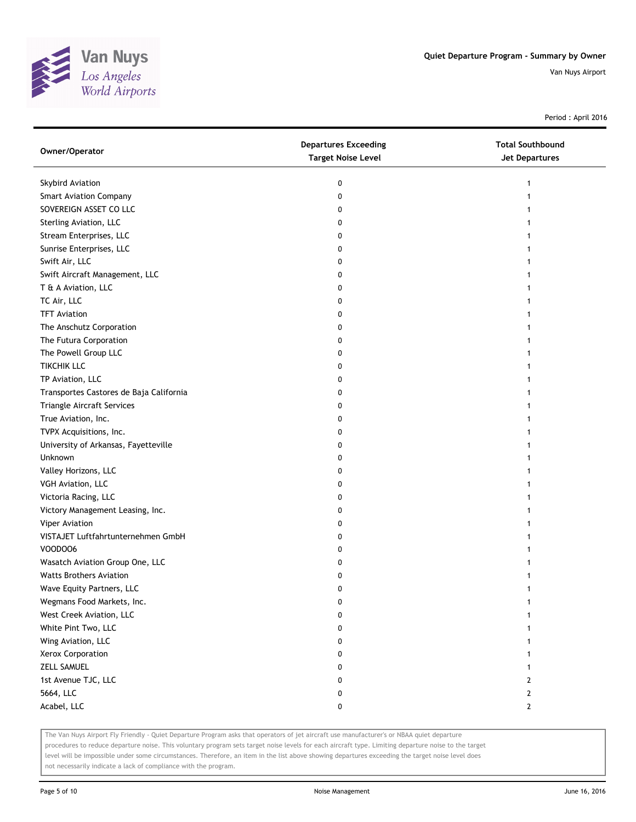

Period : April 2016

| Owner/Operator                          | <b>Departures Exceeding</b><br><b>Target Noise Level</b> | <b>Total Southbound</b><br>Jet Departures |
|-----------------------------------------|----------------------------------------------------------|-------------------------------------------|
| Skybird Aviation                        | 0                                                        | 1                                         |
| <b>Smart Aviation Company</b>           | 0                                                        |                                           |
| SOVEREIGN ASSET CO LLC                  | 0                                                        |                                           |
| Sterling Aviation, LLC                  | 0                                                        |                                           |
| Stream Enterprises, LLC                 | 0                                                        |                                           |
| Sunrise Enterprises, LLC                | 0                                                        |                                           |
| Swift Air, LLC                          | 0                                                        |                                           |
| Swift Aircraft Management, LLC          | 0                                                        |                                           |
| T & A Aviation, LLC                     | 0                                                        |                                           |
| TC Air, LLC                             | 0                                                        |                                           |
| <b>TFT Aviation</b>                     | 0                                                        |                                           |
| The Anschutz Corporation                | 0                                                        |                                           |
| The Futura Corporation                  | 0                                                        |                                           |
| The Powell Group LLC                    | 0                                                        |                                           |
| <b>TIKCHIK LLC</b>                      | 0                                                        |                                           |
| TP Aviation, LLC                        | 0                                                        |                                           |
| Transportes Castores de Baja California | 0                                                        |                                           |
| Triangle Aircraft Services              | 0                                                        |                                           |
| True Aviation, Inc.                     | 0                                                        |                                           |
| TVPX Acquisitions, Inc.                 | 0                                                        |                                           |
| University of Arkansas, Fayetteville    | 0                                                        |                                           |
| Unknown                                 | 0                                                        |                                           |
| Valley Horizons, LLC                    | 0                                                        |                                           |
| VGH Aviation, LLC                       | 0                                                        |                                           |
| Victoria Racing, LLC                    | 0                                                        |                                           |
| Victory Management Leasing, Inc.        | 0                                                        |                                           |
| Viper Aviation                          | 0                                                        |                                           |
| VISTAJET Luftfahrtunternehmen GmbH      | 0                                                        |                                           |
| VOODOO6                                 | 0                                                        |                                           |
| Wasatch Aviation Group One, LLC         | 0                                                        |                                           |
| <b>Watts Brothers Aviation</b>          | 0                                                        |                                           |
| Wave Equity Partners, LLC               | 0                                                        |                                           |
| Wegmans Food Markets, Inc.              | 0                                                        | 1                                         |
| West Creek Aviation, LLC                | 0                                                        |                                           |
| White Pint Two, LLC                     | 0                                                        |                                           |
| Wing Aviation, LLC                      | 0                                                        |                                           |
| Xerox Corporation                       | 0                                                        |                                           |
| <b>ZELL SAMUEL</b>                      | 0                                                        |                                           |
| 1st Avenue TJC, LLC                     | 0                                                        | 2                                         |
| 5664, LLC                               | 0                                                        | $\overline{2}$                            |
| Acabel, LLC                             | 0                                                        | $\mathbf{2}$                              |

The Van Nuys Airport Fly Friendly - Quiet Departure Program asks that operators of jet aircraft use manufacturer's or NBAA quiet departure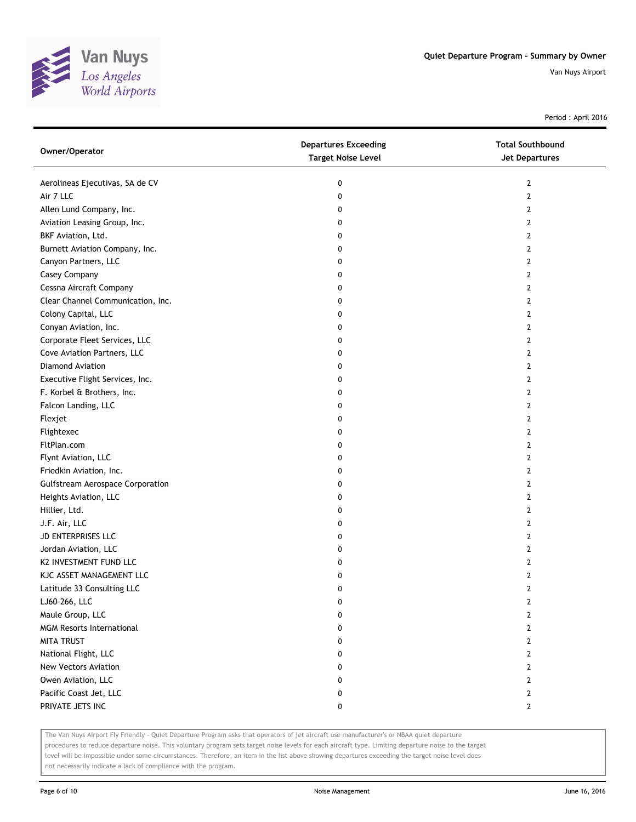

Period : April 2016

| Aerolineas Ejecutivas, SA de CV<br>0<br>2<br>Air 7 LLC<br>0<br>2 |  |
|------------------------------------------------------------------|--|
|                                                                  |  |
|                                                                  |  |
| Allen Lund Company, Inc.<br>0<br>2                               |  |
| Aviation Leasing Group, Inc.<br>$\overline{2}$<br>0              |  |
| BKF Aviation, Ltd.<br>0<br>2                                     |  |
| Burnett Aviation Company, Inc.<br>0<br>2                         |  |
| Canyon Partners, LLC<br>0<br>2                                   |  |
| Casey Company<br>0<br>2                                          |  |
| Cessna Aircraft Company<br>0<br>$\overline{2}$                   |  |
| Clear Channel Communication, Inc.<br>$\overline{2}$<br>0         |  |
| Colony Capital, LLC<br>$\overline{2}$<br>0                       |  |
| Conyan Aviation, Inc.<br>0<br>2                                  |  |
| Corporate Fleet Services, LLC<br>0<br>2                          |  |
| Cove Aviation Partners, LLC<br>$\overline{2}$<br>0               |  |
| Diamond Aviation<br>0<br>2                                       |  |
| Executive Flight Services, Inc.<br>0<br>2                        |  |
| F. Korbel & Brothers, Inc.<br>0<br>2                             |  |
| Falcon Landing, LLC<br>$\overline{2}$<br>0                       |  |
| Flexjet<br>0<br>$\overline{2}$                                   |  |
| Flightexec<br>$\overline{2}$<br>0                                |  |
| FltPlan.com<br>$\overline{2}$<br>0                               |  |
| Flynt Aviation, LLC<br>0<br>2                                    |  |
| Friedkin Aviation, Inc.<br>0<br>2                                |  |
| <b>Gulfstream Aerospace Corporation</b><br>$\overline{2}$<br>0   |  |
| Heights Aviation, LLC<br>0<br>2                                  |  |
| Hillier, Ltd.<br>0<br>2                                          |  |
| J.F. Air, LLC<br>0<br>2                                          |  |
| JD ENTERPRISES LLC<br>0<br>2                                     |  |
| Jordan Aviation, LLC<br>$\overline{2}$<br>0                      |  |
| K2 INVESTMENT FUND LLC<br>0<br>2                                 |  |
| KJC ASSET MANAGEMENT LLC<br>0<br>2                               |  |
| Latitude 33 Consulting LLC<br>$\overline{2}$<br>0                |  |
| LJ60-266, LLC<br>0<br>2                                          |  |
| Maule Group, LLC<br>$\mathbf{2}$<br>0                            |  |
| <b>MGM Resorts International</b><br>$\mathbf{2}$<br>0            |  |
| <b>MITA TRUST</b><br>0<br>2                                      |  |
| National Flight, LLC<br>0<br>2                                   |  |
| New Vectors Aviation<br>0<br>2                                   |  |
| Owen Aviation, LLC<br>$\mathbf{2}$<br>0                          |  |
| Pacific Coast Jet, LLC<br>$\mathbf{2}$<br>0                      |  |
| PRIVATE JETS INC<br>$\mathbf{2}$<br>0                            |  |

The Van Nuys Airport Fly Friendly - Quiet Departure Program asks that operators of jet aircraft use manufacturer's or NBAA quiet departure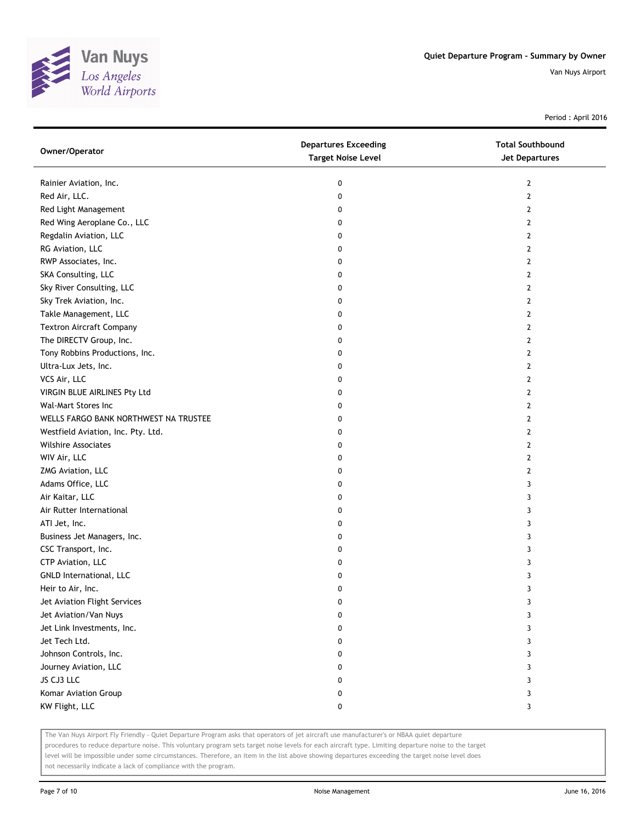

Period : April 2016

| Owner/Operator                        | <b>Departures Exceeding</b><br><b>Target Noise Level</b> | <b>Total Southbound</b><br>Jet Departures |
|---------------------------------------|----------------------------------------------------------|-------------------------------------------|
| Rainier Aviation, Inc.                | 0                                                        | 2                                         |
| Red Air, LLC.                         | 0                                                        | $\mathbf{2}$                              |
| Red Light Management                  | 0                                                        | 2                                         |
| Red Wing Aeroplane Co., LLC           | 0                                                        | $\overline{2}$                            |
| Regdalin Aviation, LLC                | 0                                                        | 2                                         |
| RG Aviation, LLC                      | 0                                                        | 2                                         |
| RWP Associates, Inc.                  | 0                                                        | 2                                         |
| SKA Consulting, LLC                   | 0                                                        | 2                                         |
| Sky River Consulting, LLC             | 0                                                        | 2                                         |
| Sky Trek Aviation, Inc.               | 0                                                        | 2                                         |
| Takle Management, LLC                 | 0                                                        | 2                                         |
| <b>Textron Aircraft Company</b>       | 0                                                        | 2                                         |
| The DIRECTV Group, Inc.               | 0                                                        | 2                                         |
| Tony Robbins Productions, Inc.        | 0                                                        | $\mathbf{2}$                              |
| Ultra-Lux Jets, Inc.                  | 0                                                        | 2                                         |
| VCS Air, LLC                          | 0                                                        | 2                                         |
| VIRGIN BLUE AIRLINES Pty Ltd          | 0                                                        | 2                                         |
| Wal-Mart Stores Inc                   | 0                                                        | 2                                         |
| WELLS FARGO BANK NORTHWEST NA TRUSTEE | 0                                                        | 2                                         |
| Westfield Aviation, Inc. Pty. Ltd.    | 0                                                        | 2                                         |
| <b>Wilshire Associates</b>            | 0                                                        | $\overline{2}$                            |
| WIV Air, LLC                          | 0                                                        | 2                                         |
| ZMG Aviation, LLC                     | 0                                                        | 2                                         |
| Adams Office, LLC                     | 0                                                        | 3                                         |
| Air Kaitar, LLC                       | 0                                                        | 3                                         |
| Air Rutter International              | 0                                                        | 3                                         |
| ATI Jet, Inc.                         | 0                                                        | 3                                         |
| Business Jet Managers, Inc.           | 0                                                        | 3                                         |
| CSC Transport, Inc.                   | 0                                                        | 3                                         |
| CTP Aviation, LLC                     | 0                                                        | 3                                         |
| GNLD International, LLC               | 0                                                        | 3                                         |
| Heir to Air, Inc.                     | 0                                                        | 3                                         |
| Jet Aviation Flight Services          | 0                                                        | 3                                         |
| Jet Aviation/Van Nuys                 | 0                                                        | 3                                         |
| Jet Link Investments, Inc.            | 0                                                        | 3                                         |
| Jet Tech Ltd.                         | 0                                                        | 3                                         |
| Johnson Controls, Inc.                | 0                                                        | 3                                         |
| Journey Aviation, LLC                 | 0                                                        | 3                                         |
| JS CJ3 LLC                            | 0                                                        | 3                                         |
| Komar Aviation Group                  | 0                                                        | 3                                         |
| KW Flight, LLC                        | 0                                                        | 3                                         |

The Van Nuys Airport Fly Friendly - Quiet Departure Program asks that operators of jet aircraft use manufacturer's or NBAA quiet departure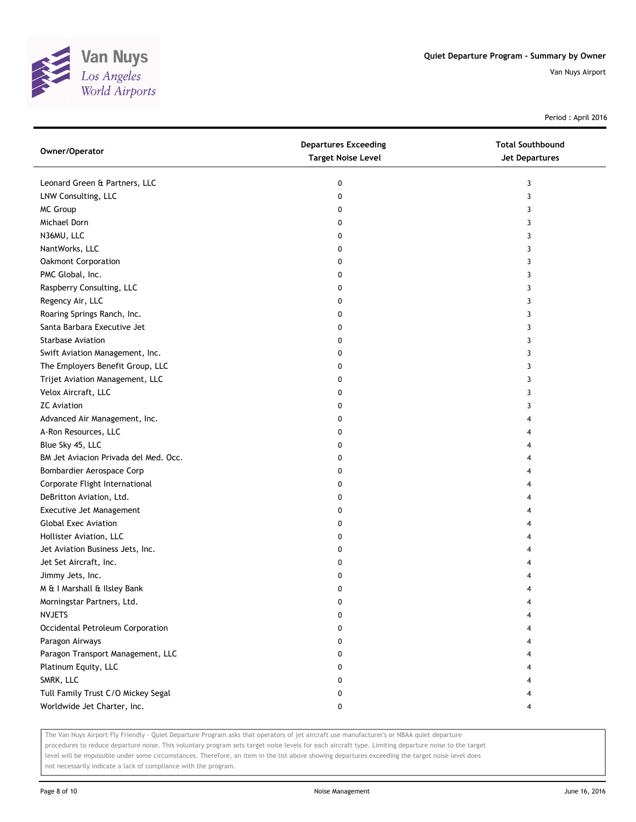

Period : April 2016

| Owner/Operator                        | <b>Departures Exceeding</b><br><b>Target Noise Level</b> | <b>Total Southbound</b><br>Jet Departures |
|---------------------------------------|----------------------------------------------------------|-------------------------------------------|
| Leonard Green & Partners, LLC         | 0                                                        | 3                                         |
| LNW Consulting, LLC                   | 0                                                        | 3                                         |
| MC Group                              | 0                                                        | 3                                         |
| Michael Dorn                          | 0                                                        | 3                                         |
| N36MU, LLC                            | 0                                                        | 3                                         |
| NantWorks, LLC                        | 0                                                        | 3                                         |
| Oakmont Corporation                   | 0                                                        | 3                                         |
| PMC Global, Inc.                      | 0                                                        | 3                                         |
| Raspberry Consulting, LLC             | 0                                                        | 3                                         |
| Regency Air, LLC                      | 0                                                        | 3                                         |
| Roaring Springs Ranch, Inc.           | 0                                                        | 3                                         |
| Santa Barbara Executive Jet           | 0                                                        | 3                                         |
| <b>Starbase Aviation</b>              | 0                                                        | 3                                         |
| Swift Aviation Management, Inc.       | 0                                                        | 3                                         |
| The Employers Benefit Group, LLC      | 0                                                        | 3                                         |
| Trijet Aviation Management, LLC       | 0                                                        | 3                                         |
| Velox Aircraft, LLC                   | 0                                                        | 3                                         |
| <b>ZC</b> Aviation                    | 0                                                        | 3                                         |
| Advanced Air Management, Inc.         | 0                                                        | 4                                         |
| A-Ron Resources, LLC                  | 0                                                        | 4                                         |
| Blue Sky 45, LLC                      | 0                                                        | 4                                         |
| BM Jet Aviacion Privada del Med. Occ. | 0                                                        | 4                                         |
| Bombardier Aerospace Corp             | 0                                                        | 4                                         |
| Corporate Flight International        | 0                                                        | 4                                         |
| DeBritton Aviation, Ltd.              | 0                                                        | 4                                         |
| Executive Jet Management              | 0                                                        | 4                                         |
| <b>Global Exec Aviation</b>           | 0                                                        | 4                                         |
| Hollister Aviation, LLC               | 0                                                        | 4                                         |
| Jet Aviation Business Jets, Inc.      | 0                                                        | 4                                         |
| Jet Set Aircraft, Inc.                | 0                                                        | 4                                         |
| Jimmy Jets, Inc.                      | 0                                                        | 4                                         |
| M & I Marshall & Ilsley Bank          | 0                                                        | 4                                         |
| Morningstar Partners, Ltd.            | 0                                                        | 4                                         |
| <b>NVJETS</b>                         | 0                                                        | 4                                         |
| Occidental Petroleum Corporation      | 0                                                        | 4                                         |
| Paragon Airways                       | 0                                                        | 4                                         |
| Paragon Transport Management, LLC     | 0                                                        | 4                                         |
| Platinum Equity, LLC                  | 0                                                        | 4                                         |
| SMRK, LLC                             | 0                                                        | 4                                         |
| Tull Family Trust C/O Mickey Segal    | 0                                                        | 4                                         |
| Worldwide Jet Charter, Inc.           | 0                                                        | 4                                         |

The Van Nuys Airport Fly Friendly - Quiet Departure Program asks that operators of jet aircraft use manufacturer's or NBAA quiet departure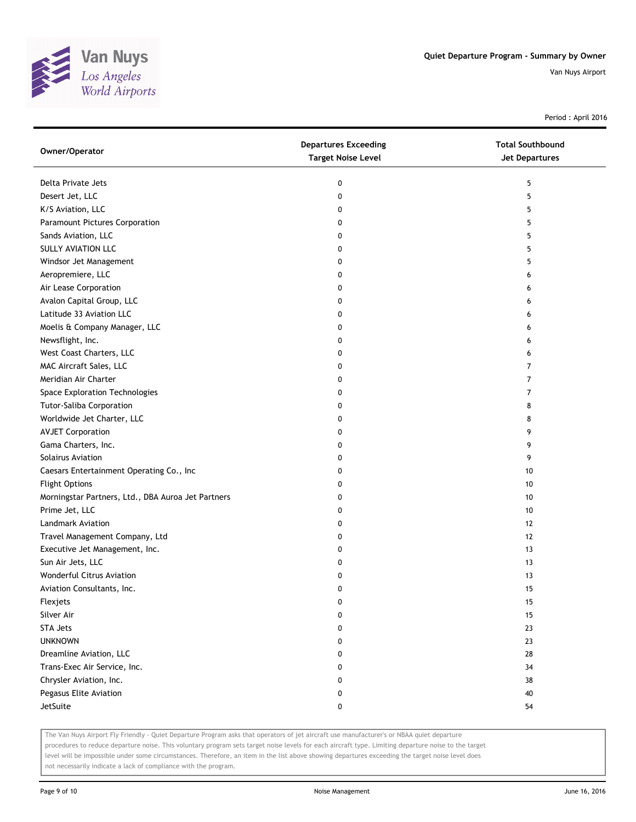

Period : April 2016

| Owner/Operator                                     | <b>Departures Exceeding</b><br><b>Target Noise Level</b> | <b>Total Southbound</b><br><b>Jet Departures</b> |
|----------------------------------------------------|----------------------------------------------------------|--------------------------------------------------|
| Delta Private Jets                                 | 0                                                        | 5                                                |
| Desert Jet, LLC                                    | 0                                                        | 5                                                |
| K/S Aviation, LLC                                  | 0                                                        | 5                                                |
| Paramount Pictures Corporation                     | 0                                                        | 5                                                |
| Sands Aviation, LLC                                | 0                                                        | 5                                                |
| SULLY AVIATION LLC                                 | 0                                                        | 5                                                |
| Windsor Jet Management                             | 0                                                        | 5                                                |
| Aeropremiere, LLC                                  | 0                                                        | 6                                                |
| Air Lease Corporation                              | 0                                                        | 6                                                |
| Avalon Capital Group, LLC                          | 0                                                        | 6                                                |
| Latitude 33 Aviation LLC                           | 0                                                        | 6                                                |
| Moelis & Company Manager, LLC                      | 0                                                        | 6                                                |
| Newsflight, Inc.                                   | 0                                                        | 6                                                |
| West Coast Charters, LLC                           | 0                                                        | 6                                                |
| MAC Aircraft Sales, LLC                            | 0                                                        | 7                                                |
| Meridian Air Charter                               | 0                                                        | 7                                                |
| Space Exploration Technologies                     | 0                                                        | 7                                                |
| <b>Tutor-Saliba Corporation</b>                    | 0                                                        | 8                                                |
| Worldwide Jet Charter, LLC                         | 0                                                        | 8                                                |
| <b>AVJET Corporation</b>                           | 0                                                        | 9                                                |
| Gama Charters, Inc.                                | 0                                                        | 9                                                |
| <b>Solairus Aviation</b>                           | 0                                                        | 9                                                |
| Caesars Entertainment Operating Co., Inc           | 0                                                        | 10                                               |
| <b>Flight Options</b>                              | 0                                                        | 10                                               |
| Morningstar Partners, Ltd., DBA Auroa Jet Partners | 0                                                        | 10                                               |
| Prime Jet, LLC                                     | 0                                                        | 10                                               |
| Landmark Aviation                                  | 0                                                        | 12                                               |
| Travel Management Company, Ltd                     | 0                                                        | 12                                               |
| Executive Jet Management, Inc.                     | 0                                                        | 13                                               |
| Sun Air Jets, LLC                                  | 0                                                        | 13                                               |
| Wonderful Citrus Aviation                          | 0                                                        | 13                                               |
| Aviation Consultants, Inc.                         | 0                                                        | 15                                               |
| Flexjets                                           | 0                                                        | 15                                               |
| Silver Air                                         | 0                                                        | 15                                               |
| <b>STA Jets</b>                                    | 0                                                        | 23                                               |
| <b>UNKNOWN</b>                                     | 0                                                        | 23                                               |
| Dreamline Aviation, LLC                            | 0                                                        | 28                                               |
| Trans-Exec Air Service, Inc.                       | 0                                                        | 34                                               |
| Chrysler Aviation, Inc.                            | 0                                                        | 38                                               |
| Pegasus Elite Aviation                             | 0                                                        | 40                                               |
| JetSuite                                           | 0                                                        | 54                                               |

The Van Nuys Airport Fly Friendly - Quiet Departure Program asks that operators of jet aircraft use manufacturer's or NBAA quiet departure